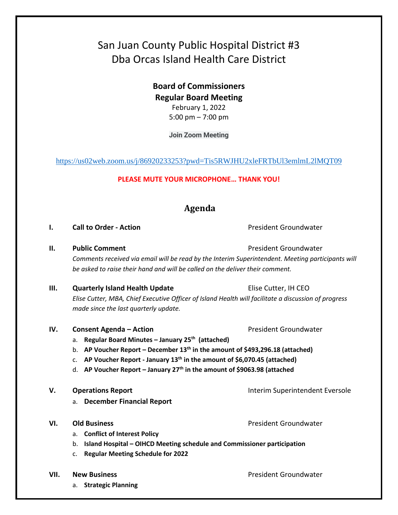# San Juan County Public Hospital District #3 Dba Orcas Island Health Care District

**Board of Commissioners Regular Board Meeting**  February 1, 2022

<https://us02web.zoom.us/j/86920233253?pwd=Tis5RWJHU2xleFRTbUl3emlmL2lMQT09>

### **PLEASE MUTE YOUR MICROPHONE… THANK YOU!**

## **Agenda**

### **I. Call to Order - Action** President Groundwater

**II. Public Comment President Groundwater President Groundwater** 

*Comments received via email will be read by the Interim Superintendent. Meeting participants will be asked to raise their hand and will be called on the deliver their comment.*

- **III.** Quarterly Island Health Update **Elise Cutter, IH CEO** *Elise Cutter, MBA, Chief Executive Officer of Island Health will facilitate a discussion of progress made since the last quarterly update.*
- **IV. Consent Agenda Action President Groundwater** 
	- a. **Regular Board Minutes – January 25th (attached)**
	- b. **AP Voucher Report – December 13th in the amount of \$493,296.18 (attached)**
	- c. **AP Voucher Report - January 13th in the amount of \$6,070.45 (attached)**
	- d. **AP Voucher Report – January 27th in the amount of \$9063.98 (attached**
- **V. Operations Report Interim Superintendent Eversole** 
	- a. **December Financial Report**
- **VI. Old Business President Groundwater President Groundwater** 
	- a. **Conflict of Interest Policy**
	- b. **Island Hospital – OIHCD Meeting schedule and Commissioner participation**
	- c. **Regular Meeting Schedule for 2022**
- - a. **Strategic Planning**

**VII.** New Business **President Groundwater President Groundwater** 

5:00 pm – 7:00 pm **Join Zoom Meeting**